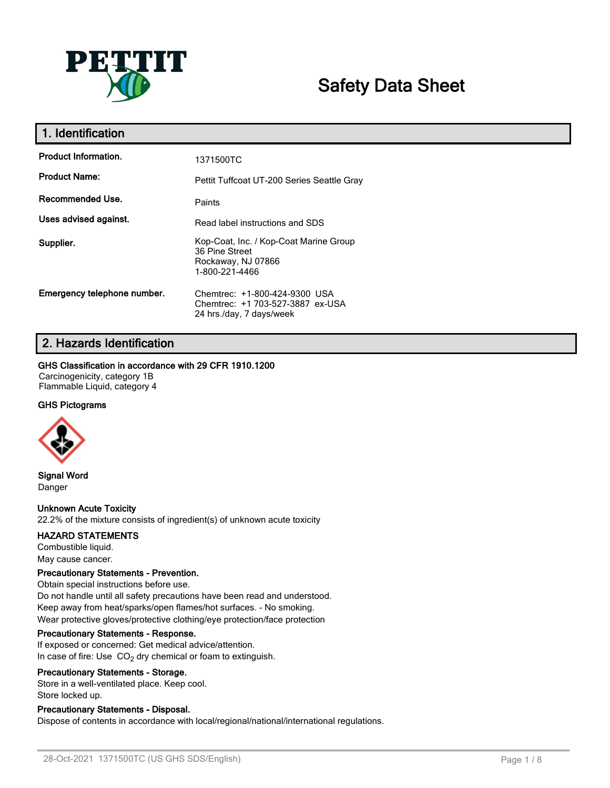

# **Safety Data Sheet**

| 1. Identification           |                                                                                                  |
|-----------------------------|--------------------------------------------------------------------------------------------------|
| <b>Product Information.</b> | 1371500TC                                                                                        |
| <b>Product Name:</b>        | Pettit Tuffcoat UT-200 Series Seattle Gray                                                       |
| Recommended Use.            | Paints                                                                                           |
| Uses advised against.       | Read label instructions and SDS                                                                  |
| Supplier.                   | Kop-Coat, Inc. / Kop-Coat Marine Group<br>36 Pine Street<br>Rockaway, NJ 07866<br>1-800-221-4466 |
| Emergency telephone number. | Chemtrec: +1-800-424-9300 USA<br>Chemtrec: +1 703-527-3887 ex-USA<br>24 hrs./day, 7 days/week    |

## **2. Hazards Identification**

#### **GHS Classification in accordance with 29 CFR 1910.1200**

Carcinogenicity, category 1B Flammable Liquid, category 4

## **GHS Pictograms**



**Signal Word** Danger

## **Unknown Acute Toxicity**

22.2% of the mixture consists of ingredient(s) of unknown acute toxicity

#### **HAZARD STATEMENTS**

Combustible liquid. May cause cancer.

#### **Precautionary Statements - Prevention.**

Obtain special instructions before use. Do not handle until all safety precautions have been read and understood. Keep away from heat/sparks/open flames/hot surfaces. - No smoking. Wear protective gloves/protective clothing/eye protection/face protection

#### **Precautionary Statements - Response.**

If exposed or concerned: Get medical advice/attention. In case of fire: Use  $CO<sub>2</sub>$  dry chemical or foam to extinguish.

#### **Precautionary Statements - Storage.**

Store in a well-ventilated place. Keep cool. Store locked up.

## **Precautionary Statements - Disposal.**

Dispose of contents in accordance with local/regional/national/international regulations.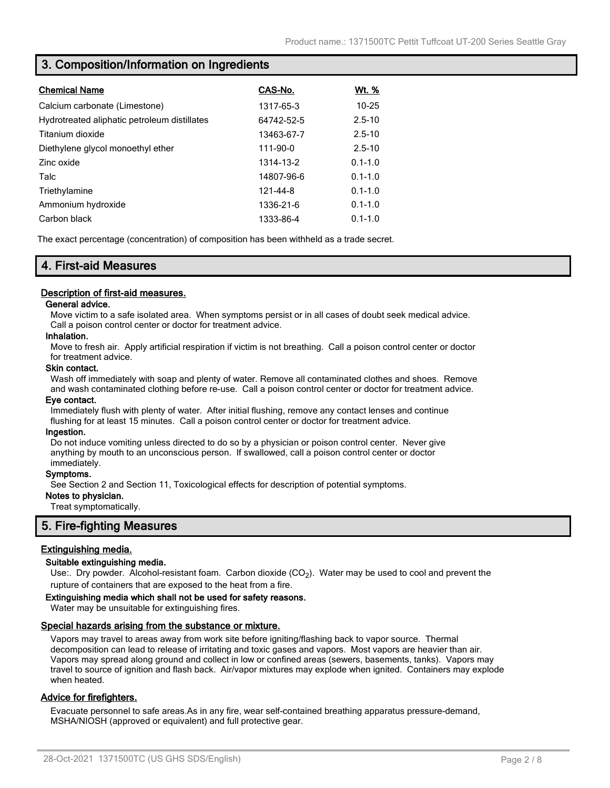## **3. Composition/Information on Ingredients**

| <b>Chemical Name</b>                         | CAS-No.    | <u>Wt. %</u> |
|----------------------------------------------|------------|--------------|
| Calcium carbonate (Limestone)                | 1317-65-3  | $10 - 25$    |
| Hydrotreated aliphatic petroleum distillates | 64742-52-5 | $2.5 - 10$   |
| Titanium dioxide                             | 13463-67-7 | $2.5 - 10$   |
| Diethylene glycol monoethyl ether            | 111-90-0   | $2.5 - 10$   |
| Zinc oxide                                   | 1314-13-2  | $0.1 - 1.0$  |
| Talc                                         | 14807-96-6 | $0.1 - 1.0$  |
| Triethylamine                                | 121-44-8   | $0.1 - 1.0$  |
| Ammonium hydroxide                           | 1336-21-6  | $0.1 - 1.0$  |
| Carbon black                                 | 1333-86-4  | $0.1 - 1.0$  |

The exact percentage (concentration) of composition has been withheld as a trade secret.

## **4. First-aid Measures**

#### **Description of first-aid measures.**

#### **General advice.**

Move victim to a safe isolated area. When symptoms persist or in all cases of doubt seek medical advice. Call a poison control center or doctor for treatment advice.

#### **Inhalation.**

Move to fresh air. Apply artificial respiration if victim is not breathing. Call a poison control center or doctor for treatment advice.

#### **Skin contact.**

Wash off immediately with soap and plenty of water. Remove all contaminated clothes and shoes. Remove and wash contaminated clothing before re-use. Call a poison control center or doctor for treatment advice.

#### **Eye contact.**

Immediately flush with plenty of water. After initial flushing, remove any contact lenses and continue flushing for at least 15 minutes. Call a poison control center or doctor for treatment advice.

#### **Ingestion.**

Do not induce vomiting unless directed to do so by a physician or poison control center. Never give anything by mouth to an unconscious person. If swallowed, call a poison control center or doctor immediately.

#### **Symptoms.**

See Section 2 and Section 11, Toxicological effects for description of potential symptoms.

#### **Notes to physician.**

Treat symptomatically.

## **5. Fire-fighting Measures**

## **Extinguishing media.**

#### **Suitable extinguishing media.**

Use:. Dry powder. Alcohol-resistant foam. Carbon dioxide (CO<sub>2</sub>). Water may be used to cool and prevent the rupture of containers that are exposed to the heat from a fire.

#### **Extinguishing media which shall not be used for safety reasons.**

Water may be unsuitable for extinguishing fires.

#### **Special hazards arising from the substance or mixture.**

Vapors may travel to areas away from work site before igniting/flashing back to vapor source. Thermal decomposition can lead to release of irritating and toxic gases and vapors. Most vapors are heavier than air. Vapors may spread along ground and collect in low or confined areas (sewers, basements, tanks). Vapors may travel to source of ignition and flash back. Air/vapor mixtures may explode when ignited. Containers may explode when heated.

#### **Advice for firefighters.**

Evacuate personnel to safe areas.As in any fire, wear self-contained breathing apparatus pressure-demand, MSHA/NIOSH (approved or equivalent) and full protective gear.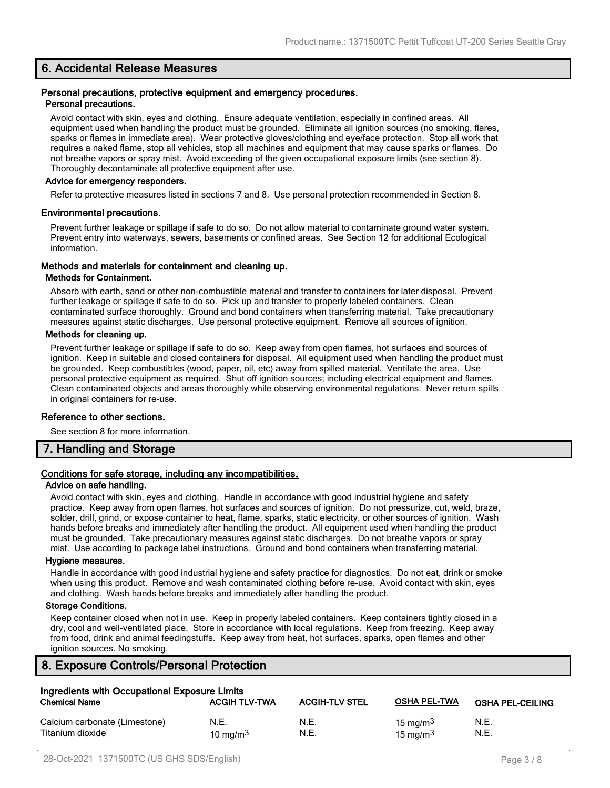## **6. Accidental Release Measures**

#### **Personal precautions, protective equipment and emergency procedures. Personal precautions.**

Avoid contact with skin, eyes and clothing. Ensure adequate ventilation, especially in confined areas. All equipment used when handling the product must be grounded. Eliminate all ignition sources (no smoking, flares, sparks or flames in immediate area). Wear protective gloves/clothing and eye/face protection. Stop all work that requires a naked flame, stop all vehicles, stop all machines and equipment that may cause sparks or flames. Do not breathe vapors or spray mist. Avoid exceeding of the given occupational exposure limits (see section 8). Thoroughly decontaminate all protective equipment after use.

#### **Advice for emergency responders.**

Refer to protective measures listed in sections 7 and 8. Use personal protection recommended in Section 8.

#### **Environmental precautions.**

Prevent further leakage or spillage if safe to do so. Do not allow material to contaminate ground water system. Prevent entry into waterways, sewers, basements or confined areas. See Section 12 for additional Ecological information.

#### **Methods and materials for containment and cleaning up.**

#### **Methods for Containment.**

Absorb with earth, sand or other non-combustible material and transfer to containers for later disposal. Prevent further leakage or spillage if safe to do so. Pick up and transfer to properly labeled containers. Clean contaminated surface thoroughly. Ground and bond containers when transferring material. Take precautionary measures against static discharges. Use personal protective equipment. Remove all sources of ignition.

#### **Methods for cleaning up.**

Prevent further leakage or spillage if safe to do so. Keep away from open flames, hot surfaces and sources of ignition. Keep in suitable and closed containers for disposal. All equipment used when handling the product must be grounded. Keep combustibles (wood, paper, oil, etc) away from spilled material. Ventilate the area. Use personal protective equipment as required. Shut off ignition sources; including electrical equipment and flames. Clean contaminated objects and areas thoroughly while observing environmental regulations. Never return spills in original containers for re-use.

#### **Reference to other sections.**

See section 8 for more information.

## **7. Handling and Storage**

## **Conditions for safe storage, including any incompatibilities.**

#### **Advice on safe handling.**

Avoid contact with skin, eyes and clothing. Handle in accordance with good industrial hygiene and safety practice. Keep away from open flames, hot surfaces and sources of ignition. Do not pressurize, cut, weld, braze, solder, drill, grind, or expose container to heat, flame, sparks, static electricity, or other sources of ignition. Wash hands before breaks and immediately after handling the product. All equipment used when handling the product must be grounded. Take precautionary measures against static discharges. Do not breathe vapors or spray mist. Use according to package label instructions. Ground and bond containers when transferring material.

#### **Hygiene measures.**

Handle in accordance with good industrial hygiene and safety practice for diagnostics. Do not eat, drink or smoke when using this product. Remove and wash contaminated clothing before re-use. Avoid contact with skin, eyes and clothing. Wash hands before breaks and immediately after handling the product.

#### **Storage Conditions.**

Keep container closed when not in use. Keep in properly labeled containers. Keep containers tightly closed in a dry, cool and well-ventilated place. Store in accordance with local regulations. Keep from freezing. Keep away from food, drink and animal feedingstuffs. Keep away from heat, hot surfaces, sparks, open flames and other ignition sources. No smoking.

## **8. Exposure Controls/Personal Protection**

| Ingredients with Occupational Exposure Limits     |                      |                       |                            |                         |
|---------------------------------------------------|----------------------|-----------------------|----------------------------|-------------------------|
| <b>Chemical Name</b>                              | <b>ACGIH TLV-TWA</b> | <b>ACGIH-TLV STEL</b> | <b>OSHA PEL-TWA</b>        | <b>OSHA PEL-CEILING</b> |
| Calcium carbonate (Limestone)<br>Titanium dioxide | N.E.<br>10 mg/m $3$  | N.E.<br>N.E.          | 15 mg/m $3$<br>15 mg/m $3$ | N.E.<br>N.E.            |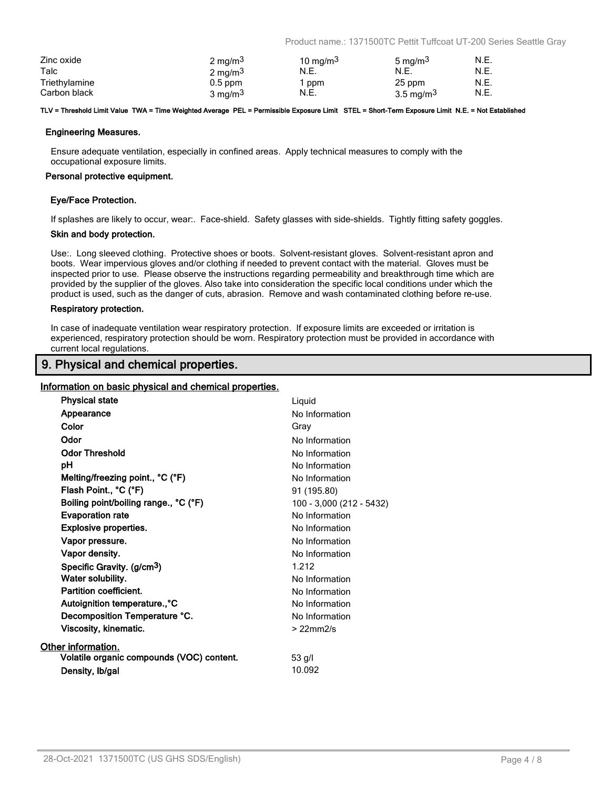Product name.: 1371500TC Pettit Tuffcoat UT-200 Series Seattle Gray

| Zinc oxide    | 2 mg/m <sup>3</sup> | 10 mg/m $3$ | 5 mg/m <sup>3</sup> | N.E. |
|---------------|---------------------|-------------|---------------------|------|
| Talc          | 2 mg/m <sup>3</sup> | N.E.        | N.E.                | N.E. |
| Triethylamine | $0.5$ ppm           | ppm         | 25 ppm              | N.E. |
| Carbon black  | 3 mg/m <sup>3</sup> | N.E.        | 3.5 mg/m $3$        | N.E. |

#### **TLV = Threshold Limit Value TWA = Time Weighted Average PEL = Permissible Exposure Limit STEL = Short-Term Exposure Limit N.E. = Not Established**

#### **Engineering Measures.**

Ensure adequate ventilation, especially in confined areas. Apply technical measures to comply with the occupational exposure limits.

#### **Personal protective equipment.**

#### **Eye/Face Protection.**

If splashes are likely to occur, wear:. Face-shield. Safety glasses with side-shields. Tightly fitting safety goggles.

#### **Skin and body protection.**

Use:. Long sleeved clothing. Protective shoes or boots. Solvent-resistant gloves. Solvent-resistant apron and boots. Wear impervious gloves and/or clothing if needed to prevent contact with the material. Gloves must be inspected prior to use. Please observe the instructions regarding permeability and breakthrough time which are provided by the supplier of the gloves. Also take into consideration the specific local conditions under which the product is used, such as the danger of cuts, abrasion. Remove and wash contaminated clothing before re-use.

#### **Respiratory protection.**

In case of inadequate ventilation wear respiratory protection. If exposure limits are exceeded or irritation is experienced, respiratory protection should be worn. Respiratory protection must be provided in accordance with current local regulations.

## **9. Physical and chemical properties.**

#### **Information on basic physical and chemical properties.**

| <b>Physical state</b>                     | Liquid                   |
|-------------------------------------------|--------------------------|
| Appearance                                | No Information           |
| Color                                     | Gray                     |
| Odor                                      | No Information           |
| <b>Odor Threshold</b>                     | No Information           |
| рH                                        | No Information           |
| Melting/freezing point., °C (°F)          | No Information           |
| Flash Point., °C (°F)                     | 91 (195.80)              |
| Boiling point/boiling range., °C (°F)     | 100 - 3,000 (212 - 5432) |
| <b>Evaporation rate</b>                   | No Information           |
| <b>Explosive properties.</b>              | No Information           |
| Vapor pressure.                           | No Information           |
| Vapor density.                            | No Information           |
| Specific Gravity. (g/cm <sup>3</sup> )    | 1.212                    |
| Water solubility.                         | No Information           |
| <b>Partition coefficient.</b>             | No Information           |
| Autoignition temperature., °C             | No Information           |
| Decomposition Temperature °C.             | No Information           |
| Viscosity, kinematic.                     | $>22$ mm $2/s$           |
| Other information.                        |                          |
| Volatile organic compounds (VOC) content. | $53$ g/l                 |
| Density, Ib/gal                           | 10.092                   |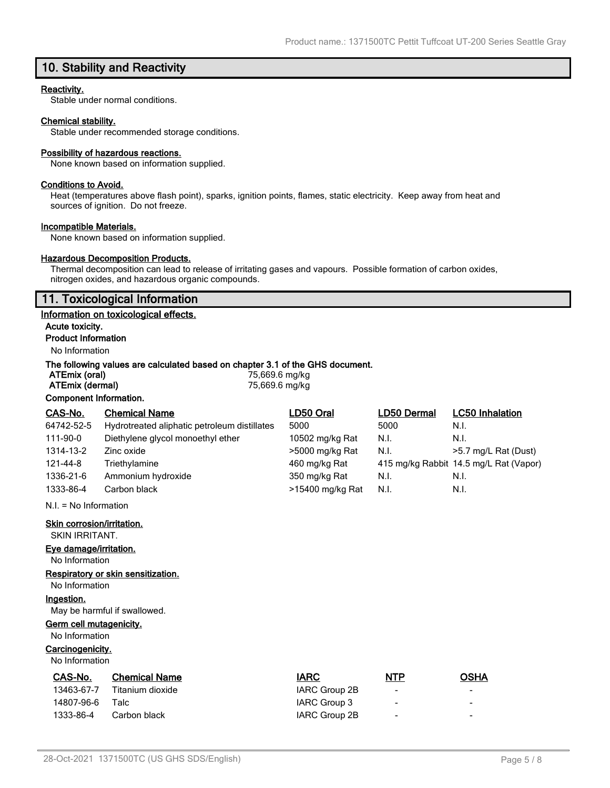## **10. Stability and Reactivity**

#### **Reactivity.**

Stable under normal conditions.

### **Chemical stability.**

Stable under recommended storage conditions.

#### **Possibility of hazardous reactions.**

None known based on information supplied.

#### **Conditions to Avoid.**

Heat (temperatures above flash point), sparks, ignition points, flames, static electricity. Keep away from heat and sources of ignition. Do not freeze.

#### **Incompatible Materials.**

None known based on information supplied.

## **Hazardous Decomposition Products.**

Thermal decomposition can lead to release of irritating gases and vapours. Possible formation of carbon oxides, nitrogen oxides, and hazardous organic compounds.

## **11. Toxicological Information**

#### **Information on toxicological effects.**

**Acute toxicity. Product Information**

## No Information

#### **The following values are calculated based on chapter 3.1 of the GHS document.**

| ATEmix (oral)          | 75,669.6 mg/kg |
|------------------------|----------------|
| ATEmix (dermal)        | 75,669.6 mg/kg |
| Component Information. |                |

| CAS-No.    | <b>Chemical Name</b>                         | LD50 Oral        | LD50 Dermal | <b>LC50 Inhalation</b>                 |
|------------|----------------------------------------------|------------------|-------------|----------------------------------------|
| 64742-52-5 | Hydrotreated aliphatic petroleum distillates | 5000             | 5000        | N.I.                                   |
| 111-90-0   | Diethylene glycol monoethyl ether            | 10502 mg/kg Rat  | N.I.        | N.I.                                   |
| 1314-13-2  | Zinc oxide                                   | >5000 mg/kg Rat  | N.I.        | >5.7 mg/L Rat (Dust)                   |
| 121-44-8   | Triethylamine                                | 460 mg/kg Rat    |             | 415 mg/kg Rabbit 14.5 mg/L Rat (Vapor) |
| 1336-21-6  | Ammonium hydroxide                           | 350 mg/kg Rat    | N.I.        | N.I.                                   |
| 1333-86-4  | Carbon black                                 | >15400 mg/kg Rat | N.I.        | N.I.                                   |

N.I. = No Information

#### **Skin corrosion/irritation.**

SKIN IRRITANT.

## **Eye damage/irritation.**

No Information

## **Respiratory or skin sensitization.**

No Information

#### **Ingestion.**

May be harmful if swallowed.

## **Germ cell mutagenicity.**

No Information

## **Carcinogenicity.**

No Information

| CAS-No.    | <b>Chemical Name</b> | <b>IARC</b>   | <b>NTP</b>               | OSHA |
|------------|----------------------|---------------|--------------------------|------|
| 13463-67-7 | Titanium dioxide     | IARC Group 2B | $\overline{\phantom{a}}$ | -    |
| 14807-96-6 | Talc                 | IARC Group 3  | $\blacksquare$           | -    |
| 1333-86-4  | Carbon black         | IARC Group 2B | $\overline{\phantom{a}}$ | -    |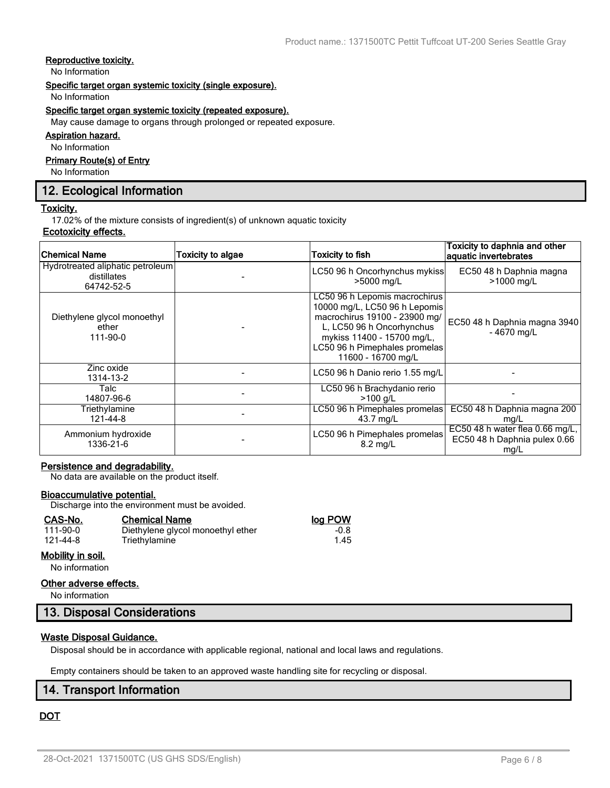## **Reproductive toxicity.**

No Information

#### **Specific target organ systemic toxicity (single exposure).**

No Information

#### **Specific target organ systemic toxicity (repeated exposure).**

May cause damage to organs through prolonged or repeated exposure.

### **Aspiration hazard.**

No Information

## **Primary Route(s) of Entry**

No Information

## **12. Ecological Information**

#### **Toxicity.**

17.02% of the mixture consists of ingredient(s) of unknown aquatic toxicity

## **Ecotoxicity effects.**

| <b>Chemical Name</b>                                          | <b>Toxicity to algae</b> | <b>Toxicity to fish</b>                                                                                                                                                                                           | Toxicity to daphnia and other<br>aquatic invertebrates                    |
|---------------------------------------------------------------|--------------------------|-------------------------------------------------------------------------------------------------------------------------------------------------------------------------------------------------------------------|---------------------------------------------------------------------------|
| Hydrotreated aliphatic petroleum<br>distillates<br>64742-52-5 |                          | LC50 96 h Oncorhynchus mykiss<br>>5000 mg/L                                                                                                                                                                       | EC50 48 h Daphnia magna<br>>1000 mg/L                                     |
| Diethylene glycol monoethyl<br>ether<br>111-90-0              |                          | LC50 96 h Lepomis macrochirus<br>10000 mg/L, LC50 96 h Lepomis<br>macrochirus 19100 - 23900 mg/<br>L, LC50 96 h Oncorhynchus<br>mykiss 11400 - 15700 mg/L,<br>LC50 96 h Pimephales promelas<br>11600 - 16700 mg/L | EC50 48 h Daphnia magna 3940<br>$-4670$ mg/L                              |
| Zinc oxide<br>1314-13-2                                       |                          | LC50 96 h Danio rerio 1.55 mg/L                                                                                                                                                                                   |                                                                           |
| Talc<br>14807-96-6                                            |                          | LC50 96 h Brachydanio rerio<br>$>100$ g/L                                                                                                                                                                         |                                                                           |
| Triethylamine<br>121-44-8                                     |                          | LC50 96 h Pimephales promelas<br>43.7 mg/L                                                                                                                                                                        | EC50 48 h Daphnia magna 200<br>mg/L                                       |
| Ammonium hydroxide<br>1336-21-6                               |                          | LC50 96 h Pimephales promelas<br>$8.2 \text{ mg/L}$                                                                                                                                                               | EC50 48 h water flea $0.66$ mg/L,<br>EC50 48 h Daphnia pulex 0.66<br>mg/L |

#### **Persistence and degradability.**

No data are available on the product itself.

#### **Bioaccumulative potential.**

Discharge into the environment must be avoided.

| CAS-No.           | <b>Chemical Name</b>              | log POW |
|-------------------|-----------------------------------|---------|
| 111-90-0          | Diethylene glycol monoethyl ether | $-0.8$  |
| 121-44-8          | Triethylamine                     | 1.45    |
| Mobility in soil. |                                   |         |

No information

#### **Other adverse effects.**

No information

## **13. Disposal Considerations**

#### **Waste Disposal Guidance.**

Disposal should be in accordance with applicable regional, national and local laws and regulations.

Empty containers should be taken to an approved waste handling site for recycling or disposal.

## **14. Transport Information**

## **DOT**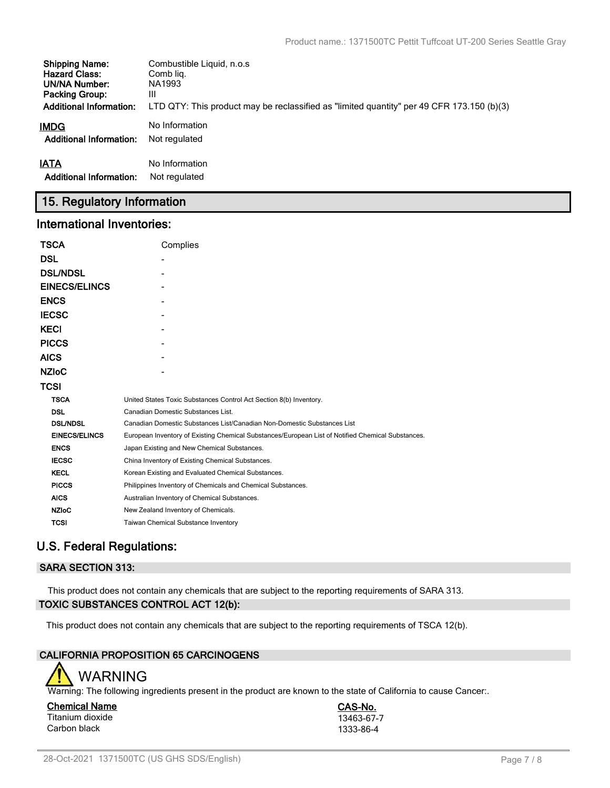| <b>Shipping Name:</b>          | Combustible Liquid, n.o.s.                                                                |
|--------------------------------|-------------------------------------------------------------------------------------------|
| <b>Hazard Class:</b>           | Comb lig.                                                                                 |
| UN/NA Number:                  | NA1993                                                                                    |
| <b>Packing Group:</b>          | Ш                                                                                         |
| <b>Additional Information:</b> | LTD QTY: This product may be reclassified as "limited quantity" per 49 CFR 173.150 (b)(3) |
| <b>IMDG</b>                    | No Information                                                                            |
| <b>Additional Information:</b> | Not regulated                                                                             |
| <b>IATA</b>                    | No Information                                                                            |
| <b>Additional Information:</b> | Not regulated                                                                             |

## **15. Regulatory Information**

## **International Inventories:**

| <b>TSCA</b>          | Complies                                                                                          |
|----------------------|---------------------------------------------------------------------------------------------------|
| <b>DSL</b>           |                                                                                                   |
| <b>DSL/NDSL</b>      |                                                                                                   |
| <b>EINECS/ELINCS</b> |                                                                                                   |
| <b>ENCS</b>          |                                                                                                   |
| <b>IECSC</b>         |                                                                                                   |
| <b>KECI</b>          |                                                                                                   |
| <b>PICCS</b>         |                                                                                                   |
| <b>AICS</b>          |                                                                                                   |
| <b>NZIOC</b>         |                                                                                                   |
| <b>TCSI</b>          |                                                                                                   |
| <b>TSCA</b>          | United States Toxic Substances Control Act Section 8(b) Inventory.                                |
| <b>DSL</b>           | Canadian Domestic Substances List.                                                                |
| <b>DSL/NDSL</b>      | Canadian Domestic Substances List/Canadian Non-Domestic Substances List                           |
| <b>EINECS/ELINCS</b> | European Inventory of Existing Chemical Substances/European List of Notified Chemical Substances. |
| <b>ENCS</b>          | Japan Existing and New Chemical Substances.                                                       |
| <b>IECSC</b>         | China Inventory of Existing Chemical Substances.                                                  |
| <b>KECL</b>          | Korean Existing and Evaluated Chemical Substances.                                                |
| <b>PICCS</b>         | Philippines Inventory of Chemicals and Chemical Substances.                                       |
| <b>AICS</b>          | Australian Inventory of Chemical Substances.                                                      |
| <b>NZIoC</b>         | New Zealand Inventory of Chemicals.                                                               |
| <b>TCSI</b>          | Taiwan Chemical Substance Inventory                                                               |

## **U.S. Federal Regulations:**

## **SARA SECTION 313:**

This product does not contain any chemicals that are subject to the reporting requirements of SARA 313. **TOXIC SUBSTANCES CONTROL ACT 12(b):**

This product does not contain any chemicals that are subject to the reporting requirements of TSCA 12(b).

## **CALIFORNIA PROPOSITION 65 CARCINOGENS**



Warning: The following ingredients present in the product are known to the state of California to cause Cancer..

**Chemical Name CAS-No.** Titanium dioxide 13463-67-7<br>Carbon black 1333-86-4 Carbon black